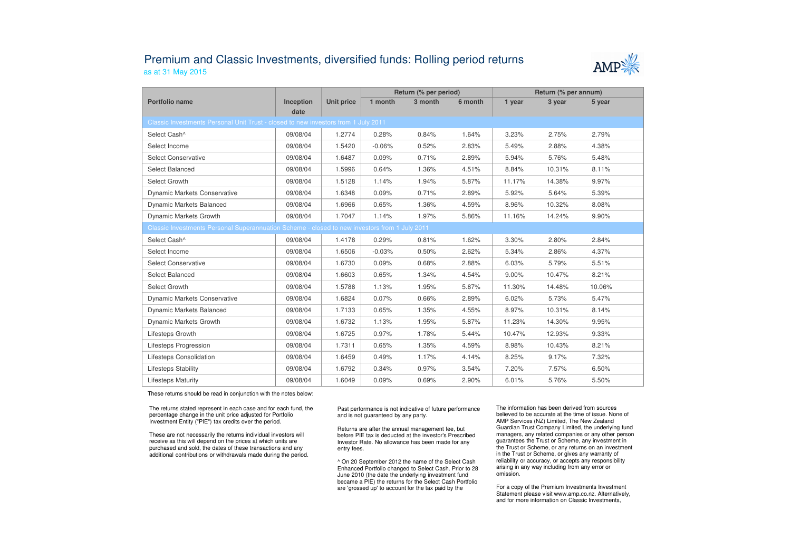## Premium and Classic Investments, diversified funds: Rolling period returnsas at 31 May 2015



|                                                                                               |                   |                   | Return (% per period) |         |         | Return (% per annum) |        |        |  |
|-----------------------------------------------------------------------------------------------|-------------------|-------------------|-----------------------|---------|---------|----------------------|--------|--------|--|
| Portfolio name                                                                                | Inception<br>date | <b>Unit price</b> | 1 month               | 3 month | 6 month | 1 year               | 3 year | 5 year |  |
| Classic Investments Personal Unit Trust - closed to new investors from 1 July 2011            |                   |                   |                       |         |         |                      |        |        |  |
| Select Cash^                                                                                  | 09/08/04          | 1.2774            | 0.28%                 | 0.84%   | 1.64%   | 3.23%                | 2.75%  | 2.79%  |  |
| Select Income                                                                                 | 09/08/04          | 1.5420            | $-0.06%$              | 0.52%   | 2.83%   | 5.49%                | 2.88%  | 4.38%  |  |
| <b>Select Conservative</b>                                                                    | 09/08/04          | 1.6487            | 0.09%                 | 0.71%   | 2.89%   | 5.94%                | 5.76%  | 5.48%  |  |
| Select Balanced                                                                               | 09/08/04          | 1.5996            | 0.64%                 | 1.36%   | 4.51%   | 8.84%                | 10.31% | 8.11%  |  |
| Select Growth                                                                                 | 09/08/04          | 1.5128            | 1.14%                 | 1.94%   | 5.87%   | 11.17%               | 14.38% | 9.97%  |  |
| <b>Dynamic Markets Conservative</b>                                                           | 09/08/04          | 1.6348            | 0.09%                 | 0.71%   | 2.89%   | 5.92%                | 5.64%  | 5.39%  |  |
| <b>Dynamic Markets Balanced</b>                                                               | 09/08/04          | 1.6966            | 0.65%                 | 1.36%   | 4.59%   | 8.96%                | 10.32% | 8.08%  |  |
| Dynamic Markets Growth                                                                        | 09/08/04          | 1.7047            | 1.14%                 | 1.97%   | 5.86%   | 11.16%               | 14.24% | 9.90%  |  |
| Classic Investments Personal Superannuation Scheme - closed to new investors from 1 July 2011 |                   |                   |                       |         |         |                      |        |        |  |
| Select Cash^                                                                                  | 09/08/04          | 1.4178            | 0.29%                 | 0.81%   | 1.62%   | 3.30%                | 2.80%  | 2.84%  |  |
| Select Income                                                                                 | 09/08/04          | 1.6506            | $-0.03%$              | 0.50%   | 2.62%   | 5.34%                | 2.86%  | 4.37%  |  |
| <b>Select Conservative</b>                                                                    | 09/08/04          | 1.6730            | 0.09%                 | 0.68%   | 2.88%   | 6.03%                | 5.79%  | 5.51%  |  |
| Select Balanced                                                                               | 09/08/04          | 1.6603            | 0.65%                 | 1.34%   | 4.54%   | 9.00%                | 10.47% | 8.21%  |  |
| Select Growth                                                                                 | 09/08/04          | 1.5788            | 1.13%                 | 1.95%   | 5.87%   | 11.30%               | 14.48% | 10.06% |  |
| <b>Dynamic Markets Conservative</b>                                                           | 09/08/04          | 1.6824            | 0.07%                 | 0.66%   | 2.89%   | 6.02%                | 5.73%  | 5.47%  |  |
| Dynamic Markets Balanced                                                                      | 09/08/04          | 1.7133            | 0.65%                 | 1.35%   | 4.55%   | 8.97%                | 10.31% | 8.14%  |  |
| Dynamic Markets Growth                                                                        | 09/08/04          | 1.6732            | 1.13%                 | 1.95%   | 5.87%   | 11.23%               | 14.30% | 9.95%  |  |
| Lifesteps Growth                                                                              | 09/08/04          | 1.6725            | 0.97%                 | 1.78%   | 5.44%   | 10.47%               | 12.93% | 9.33%  |  |
| Lifesteps Progression                                                                         | 09/08/04          | 1.7311            | 0.65%                 | 1.35%   | 4.59%   | 8.98%                | 10.43% | 8.21%  |  |
| Lifesteps Consolidation                                                                       | 09/08/04          | 1.6459            | 0.49%                 | 1.17%   | 4.14%   | 8.25%                | 9.17%  | 7.32%  |  |
| <b>Lifesteps Stability</b>                                                                    | 09/08/04          | 1.6792            | 0.34%                 | 0.97%   | 3.54%   | 7.20%                | 7.57%  | 6.50%  |  |
| <b>Lifesteps Maturity</b>                                                                     | 09/08/04          | 1.6049            | 0.09%                 | 0.69%   | 2.90%   | 6.01%                | 5.76%  | 5.50%  |  |

These returns should be read in conjunction with the notes below:

The returns stated represent in each case and for each fund, the percentage change in the unit price adjusted for Portfolio Investment Entity ("PIE") tax credits over the period.

These are not necessarily the returns individual investors will receive as this will depend on the prices at which units are purchased and sold, the dates of these transactions and any additional contributions or withdrawals made during the period. Past performance is not indicative of future performance and is not guaranteed by any party.

Returns are after the annual management fee, but before PIE tax is deducted at the investor's Prescribed Investor Rate. No allowance has been made for any entry fees.

^ On 20 September 2012 the name of the Select Cash Enhanced Portfolio changed to Select Cash. Prior to 28 June 2010 (the date the underlying investment fund became a PIE) the returns for the Select Cash Portfolio are 'grossed up' to account for the tax paid by the

The information has been derived from sources believed to be accurate at the time of issue. None of AMP Services (NZ) Limited, The New Zealand Guardian Trust Company Limited, the underlying fund managers, any related companies or any other personguarantees the Trust or Scheme, any investment in the Trust or Scheme, or any returns on an investment in the Trust or Scheme, or gives any warranty of reliability or accuracy, or accepts any responsibility arising in any way including from any error or omission.

For a copy of the Premium Investments Investment Statement please visit www.amp.co.nz. Alternatively, and for more information on Classic Investments,